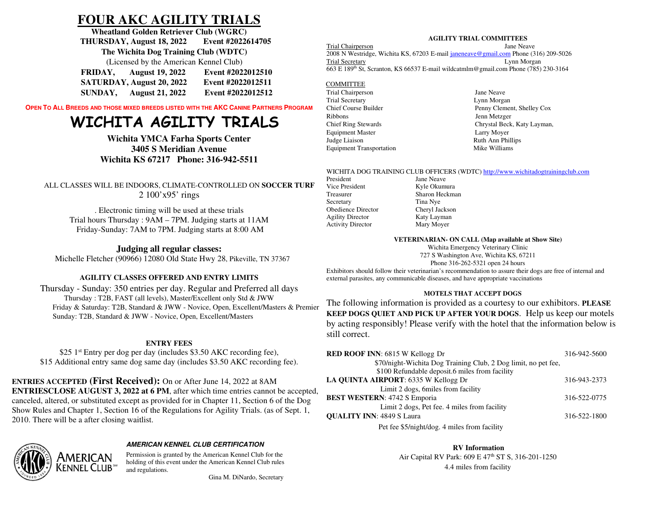# **FOUR AKC AGILITY TRIALS**

**Wheatland Golden Retriever Club (WGRC) THURSDAY, August 18, 2022 Event #2022614705 The Wichita Dog Training Club (WDTC)** (Licensed by the American Kennel Club) **FRIDAY, August 19, 2022 Event #2022012510**

| raidh,  | August 17, $2022$         | <b>EVEIR TZVZZUIZJIV</b> |
|---------|---------------------------|--------------------------|
|         | SATURDAY, August 20, 2022 | Event #2022012511        |
| SUNDAY, | <b>August 21, 2022</b>    | Event #2022012512        |

**OPEN TO ALL BREEDS AND THOSE MIXED BREEDS LISTED WITH THE AKCCANINE PARTNERS PROGRAM**

# **WICHITA AGILITY TRIALS**

**Wichita YMCA Farha Sports Center3405 S Meridian AvenueWichita KS 67217 Phone: 316-942-5511** 

ALL CLASSES WILL BE INDOORS, CLIMATE-CONTROLLED ON **SOCCER TURF**2 100'x95' rings

. Electronic timing will be used at these trials Trial hours Thursday : 9AM – 7PM. Judging starts at 11AM Friday-Sunday: 7AM to 7PM. Judging starts at 8:00 AM

# **Judging all regular classes:**

Michelle Fletcher (90966) 12080 Old State Hwy 28, Pikeville, TN 37367

# **AGILITY CLASSES OFFERED AND ENTRY LIMITS**

Thursday - Sunday: 350 entries per day. Regular and Preferred all days Thursday : T2B, FAST (all levels), Master/Excellent only Std & JWW Friday & Saturday: T2B, Standard & JWW - Novice, Open, Excellent/Masters & Premier Sunday: T2B, Standard & JWW - Novice, Open, Excellent/Masters

## **ENTRY FEES**

\$25 1<sup>st</sup> Entry per dog per day (includes \$3.50 AKC recording fee), \$15 Additional entry same dog same day (includes \$3.50 AKC recording fee).

**ENTRIES ACCEPTED (First Received):** On or After June 14, 2022 at 8AM **ENTRIESCLOSE AUGUST 3, 2022 at 6 PM**, after which time entries cannot be accepted, canceled, altered, or substituted except as provided for in Chapter 11, Section 6 of the Dog Show Rules and Chapter 1, Section 16 of the Regulations for Agility Trials. (as of Sept. 1, 2010. There will be a after closing waitlist.



# *AMERICAN KENNEL CLUB CERTIFICATION*

Permission is granted by the American Kennel Club for the holding of this event under the American Kennel Club rules and regulations.

## **AGILITY TRIAL COMMITTEES**

Jane Neave

Trial Chairperson 2008 N Westridge, Wichita KS, 67203 E-mail janeneave@gmail.com Phone (316) 209-5026 Trial Secretary Lynn Morgan 663 E 189th St, Scranton, KS 66537 E-mail wildcatmlm@gmail.com Phone (785) 230-3164

# COMMITTEE

Trial Chairperson **Jane Neave** Trial Secretary Ribbons Jenn Metzger Equipment Master Larry Moyer Judge Liaison Ruth Ann Phillips Equipment Transportation Mike Williams

Lynn Morgan Chief Course Builder Penny Clement, Shelley Cox Chief Ring Stewards Chrystal Beck, Katy Layman,

## WICHITA DOG TRAINING CLUB OFFICERS (WDTC) <u>http://www.wichitadogtrainingclub.com</u>

President Jane Neave Vice President Kyle Okumura Treasurer Sharon Heckman Secretary Tina Nye Obedience Director Agility Director Katy Layman Activity Director Mary Moyer

Cheryl Jackson

## **VETERINARIAN- ON CALL (Map available at Show Site)**

Wichita Emergency Veterinary Clinic 727 S Washington Ave, Wichita KS, 67211Phone 316-262-5321 open 24 hours

 Exhibitors should follow their veterinarian's recommendation to assure their dogs are free of internal and external parasites, any communicable diseases, and have appropriate vaccinations

# **MOTELS THAT ACCEPT DOGS**

The following information is provided as a courtesy to our exhibitors. **PLEASE KEEP DOGS QUIET AND PICK UP AFTER YOUR DOGS**. Help us keep our motels by acting responsibly! Please verify with the hotel that the information below is still correct.

| <b>RED ROOF INN: 6815 W Kellogg Dr</b>                         | 316-942-5600 |
|----------------------------------------------------------------|--------------|
| \$70/night-Wichita Dog Training Club, 2 Dog limit, no pet fee, |              |
| \$100 Refundable deposit.6 miles from facility                 |              |
| LA QUINTA AIRPORT: 6335 W Kellogg Dr                           | 316-943-2373 |
| Limit 2 dogs, 6 miles from facility                            |              |
| <b>BEST WESTERN: 4742 S Emporia</b>                            | 316-522-0775 |
| Limit 2 dogs, Pet fee. 4 miles from facility                   |              |
| <b>QUALITY INN: 4849 S Laura</b>                               | 316-522-1800 |
| Pet fee \$5/night/dog. 4 miles from facility                   |              |

**RV Information**  Air Capital RV Park: 609 E 47th ST S, 316-201-12504.4 miles from facility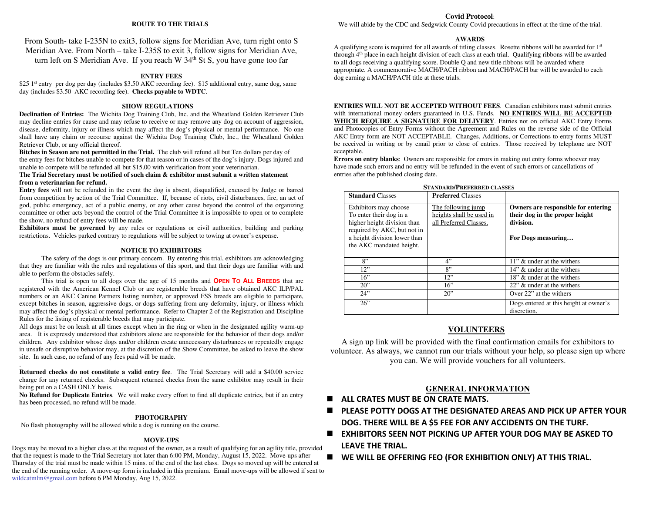#### **ROUTE TO THE TRIALS**

From South- take I-235N to exit3, follow signs for Meridian Ave, turn right onto S Meridian Ave. From North – take I-235S to exit 3, follow signs for Meridian Ave, turn left on S Meridian Ave. If you reach W  $34<sup>th</sup>$  St S, you have gone too far

#### **ENTRY FEES**

\$25 1<sup>st</sup> entry per dog per day (includes \$3.50 AKC recording fee). \$15 additional entry, same dog, same day (includes \$3.50 AKC recording fee). **Checks payable to WDTC**.

#### **SHOW REGULATIONS**

 **Declination of Entries:** The Wichita Dog Training Club, Inc. and the Wheatland Golden Retriever Club may decline entries for cause and may refuse to receive or may remove any dog on account of aggression, disease, deformity, injury or illness which may affect the dog's physical or mental performance. No one shall have any claim or recourse against the Wichita Dog Training Club, Inc., the Wheatland Golden Retriever Club, or any official thereof.

 **Bitches in Season are not permitted in the Trial.** The club will refund all but Ten dollars per day of the entry fees for bitches unable to compete for that reason or in cases of the dog's injury. Dogs injured and unable to compete will be refunded all but \$15.00 with verification from your veterinarian.

#### **The Trial Secretary must be notified of such claim & exhibitor must submit a written statement from a veterinarian for refund.**

 **Entry fees** will not be refunded in the event the dog is absent, disqualified, excused by Judge or barred from competition by action of the Trial Committee. If, because of riots, civil disturbances, fire, an act of god, public emergency, act of a public enemy, or any other cause beyond the control of the organizing committee or other acts beyond the control of the Trial Committee it is impossible to open or to complete the show, no refund of entry fees will be made.

 **Exhibitors must be governed** by any rules or regulations or civil authorities, building and parking restrictions. Vehicles parked contrary to regulations will be subject to towing at owner's expense.

#### **NOTICE TO EXHIBITORS**

 The safety of the dogs is our primary concern. By entering this trial, exhibitors are acknowledging that they are familiar with the rules and regulations of this sport, and that their dogs are familiar with and able to perform the obstacles safely.

 This trial is open to all dogs over the age of 15 months and **OPEN TO ALL BREEDS** that are registered with the American Kennel Club or are registerable breeds that have obtained AKC ILP/PAL numbers or an AKC Canine Partners listing number, or approved FSS breeds are eligible to participate, except bitches in season, aggressive dogs, or dogs suffering from any deformity, injury, or illness which may affect the dog's physical or mental performance. Refer to Chapter 2 of the Registration and Discipline Rules for the listing of registerable breeds that may participate.

 All dogs must be on leash at all times except when in the ring or when in the designated agility warm-up area. It is expressly understood that exhibitors alone are responsible for the behavior of their dogs and/or children. Any exhibitor whose dogs and/or children create unnecessary disturbances or repeatedly engage in unsafe or disruptive behavior may, at the discretion of the Show Committee, be asked to leave the show site. In such case, no refund of any fees paid will be made.

 **Returned checks do not constitute a valid entry fee**. The Trial Secretary will add a \$40.00 service charge for any returned checks. Subsequent returned checks from the same exhibitor may result in their being put on a CASH ONLY basis.

 **No Refund for Duplicate Entries**. We will make every effort to find all duplicate entries, but if an entry has been processed, no refund will be made.

#### **PHOTOGRAPHY**

No flash photography will be allowed while a dog is running on the course.

.

#### **MOVE-UPS**

 Dogs may be moved to a higher class at the request of the owner, as a result of qualifying for an agility title, provided that the request is made to the Trial Secretary not later than 6:00 PM, Monday, August 15, 2022. Move-ups after Thursday of the trial must be made within 15 mins. of the end of the last class. Dogs so moved up will be entered at the end of the running order. A move-up form is included in this premium. Email move-ups will be allowed if sent to wildcatmlm@gmail.com before 6 PM Monday, Aug 15, 2022.

#### **Covid Protocol**:

We will abide by the CDC and Sedgwick County Covid precautions in effect at the time of the trial.

#### **AWARDS**

A qualifying score is required for all awards of titling classes. Rosette ribbons will be awarded for 1st through 4th place in each height division of each class at each trial. Qualifying ribbons will be awarded to all dogs receiving a qualifying score. Double Q and new title ribbons will be awarded where appropriate. A commemorative MACH/PACH ribbon and MACH/PACH bar will be awarded to each dog earning a MACH/PACH title at these trials.

**ENTRIES WILL NOT BE ACCEPTED WITHOUT FEES**. Canadian exhibitors must submit entries with international money orders guaranteed in U.S. Funds. **NO ENTRIES WILL BE ACCEPTED WHICH REQUIRE A SIGNATURE FOR DELIVERY**. Entries not on official AKC Entry Forms and Photocopies of Entry Forms without the Agreement and Rules on the reverse side of the Official AKC Entry form are NOT ACCEPTABLE. Changes, Additions, or Corrections to entry forms MUST be received in writing or by email prior to close of entries. Those received by telephone are NOT acceptable.

 **Errors on entry blanks**: Owners are responsible for errors in making out entry forms whoever may have made such errors and no entry will be refunded in the event of such errors or cancellations of entries after the published closing date.

| STANDARD/E REFERRED CLASSES                                                                                                                                                |                                                                          |                                                                                                          |  |  |  |  |  |
|----------------------------------------------------------------------------------------------------------------------------------------------------------------------------|--------------------------------------------------------------------------|----------------------------------------------------------------------------------------------------------|--|--|--|--|--|
| <b>Standard Classes</b>                                                                                                                                                    | <b>Preferred Classes</b>                                                 |                                                                                                          |  |  |  |  |  |
| Exhibitors may choose<br>To enter their dog in a<br>higher height division than<br>required by AKC, but not in<br>a height division lower than<br>the AKC mandated height. | The following jump<br>heights shall be used in<br>all Preferred Classes. | Owners are responsible for entering<br>their dog in the proper height<br>division.<br>For Dogs measuring |  |  |  |  |  |
| 8"                                                                                                                                                                         | 4"                                                                       | 11" & under at the withers                                                                               |  |  |  |  |  |
| 12"                                                                                                                                                                        | 8"                                                                       | 14" & under at the withers                                                                               |  |  |  |  |  |
| 16"                                                                                                                                                                        | 12"                                                                      | 18" & under at the withers                                                                               |  |  |  |  |  |
| 20"                                                                                                                                                                        | 16"                                                                      | 22" & under at the withers                                                                               |  |  |  |  |  |
| 24"                                                                                                                                                                        | 20"                                                                      | Over 22" at the withers                                                                                  |  |  |  |  |  |
| 26"                                                                                                                                                                        |                                                                          | Dogs entered at this height at owner's<br>discretion.                                                    |  |  |  |  |  |

# $S_{\text{max}}$ **DREFERRED** CLASSES

#### **VOLUNTEERS**

A sign up link will be provided with the final confirmation emails for exhibitors to volunteer. As always, we cannot run our trials without your help, so please sign up where you can. We will provide vouchers for all volunteers.

#### **GENERAL INFORMATION**

- **ALL CRATES MUST BE ON CRATE MATS.**
- $\blacksquare$  **PLEASE POTTY DOGS AT THE DESIGNATED AREAS AND PICK UP AFTER YOUR DOG. THERE WILL BE A \$5 FEE FOR ANY ACCIDENTS ON THE TURF.**
- **EXHIBITORS SEEN NOT PICKING UP AFTER YOUR DOG MAY BE ASKED TO LEAVE THE TRIAL.**
- ▉ **WE WILL BE OFFERING FEO (FOR EXHIBITION ONLY) AT THIS TRIAL.**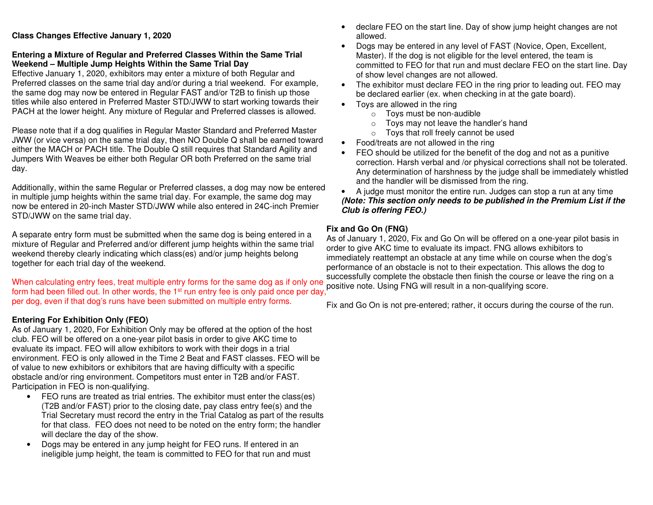# **Class Changes Effective January 1, 2020**

# **Entering a Mixture of Regular and Preferred Classes Within the Same Trial Weekend – Multiple Jump Heights Within the Same Trial Day**

 Effective January 1, 2020, exhibitors may enter a mixture of both Regular and Preferred classes on the same trial day and/or during a trial weekend. For example, the same dog may now be entered in Regular FAST and/or T2B to finish up those titles while also entered in Preferred Master STD/JWW to start working towards their PACH at the lower height. Any mixture of Regular and Preferred classes is allowed.

Please note that if a dog qualifies in Regular Master Standard and Preferred Master JWW (or vice versa) on the same trial day, then NO Double Q shall be earned toward either the MACH or PACH title. The Double Q still requires that Standard Agility and Jumpers With Weaves be either both Regular OR both Preferred on the same trial day.

Additionally, within the same Regular or Preferred classes, a dog may now be entered in multiple jump heights within the same trial day. For example, the same dog may now be entered in 20-inch Master STD/JWW while also entered in 24C-inch Premier STD/JWW on the same trial day.

A separate entry form must be submitted when the same dog is being entered in a mixture of Regular and Preferred and/or different jump heights within the same trial weekend thereby clearly indicating which class(es) and/or jump heights belong together for each trial day of the weekend.

When calculating entry fees, treat multiple entry forms for the same dog as if only one form had been filled out. In other words, the 1<sup>st</sup> run entry fee is only paid once per day,<sup>*'*</sup> per dog, even if that dog's runs have been submitted on multiple entry forms.

# **Entering For Exhibition Only (FEO)**

 As of January 1, 2020, For Exhibition Only may be offered at the option of the host club. FEO will be offered on a one-year pilot basis in order to give AKC time to evaluate its impact. FEO will allow exhibitors to work with their dogs in a trial environment. FEO is only allowed in the Time 2 Beat and FAST classes. FEO will be of value to new exhibitors or exhibitors that are having difficulty with a specific obstacle and/or ring environment. Competitors must enter in T2B and/or FAST. Participation in FEO is non-qualifying.

- FEO runs are treated as trial entries. The exhibitor must enter the class(es) (T2B and/or FAST) prior to the closing date, pay class entry fee(s) and the Trial Secretary must record the entry in the Trial Catalog as part of the results for that class. FEO does not need to be noted on the entry form; the handler will declare the day of the show.
- Dogs may be entered in any jump height for FEO runs. If entered in an ineligible jump height, the team is committed to FEO for that run and must
- declare FEO on the start line. Day of show jump height changes are not allowed.
- Dogs may be entered in any level of FAST (Novice, Open, Excellent, Master). If the dog is not eligible for the level entered, the team is committed to FEO for that run and must declare FEO on the start line. Day of show level changes are not allowed.
- The exhibitor must declare FEO in the ring prior to leading out. FEO may be declared earlier (ex. when checking in at the gate board).
- Toys are allowed in the ring
	- o Toys must be non-audible
	- o Toys may not leave the handler's hand
	- o Toys that roll freely cannot be used
- Food/treats are not allowed in the ring
- FEO should be utilized for the benefit of the dog and not as a punitive correction. Harsh verbal and /or physical corrections shall not be tolerated. Any determination of harshness by the judge shall be immediately whistled and the handler will be dismissed from the ring.

 • A judge must monitor the entire run. Judges can stop a run at any time *(Note: This section only needs to be published in the Premium List if the Club is offering FEO.)* 

# **Fix and Go On (FNG)**

 As of January 1, 2020, Fix and Go On will be offered on a one-year pilot basis in order to give AKC time to evaluate its impact. FNG allows exhibitors to immediately reattempt an obstacle at any time while on course when the dog's performance of an obstacle is not to their expectation. This allows the dog to successfully complete the obstacle then finish the course or leave the ring on a positive note. Using FNG will result in a non-qualifying score.

Fix and Go On is not pre-entered; rather, it occurs during the course of the run.